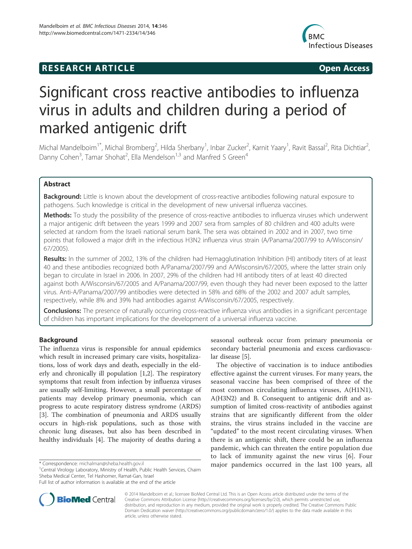# **RESEARCH ARTICLE Example 2014 12:30 The SEAR CHA RESEARCH ARTICLE**



# Significant cross reactive antibodies to influenza virus in adults and children during a period of marked antigenic drift

Michal Mandelboim<sup>1\*</sup>, Michal Bromberg<sup>2</sup>, Hilda Sherbany<sup>1</sup>, Inbar Zucker<sup>2</sup>, Karnit Yaary<sup>1</sup>, Ravit Bassal<sup>2</sup>, Rita Dichtiar<sup>2</sup> , Danny Cohen<sup>3</sup>, Tamar Shohat<sup>2</sup>, Ella Mendelson<sup>1,3</sup> and Manfred S Green<sup>4</sup>

# Abstract

Background: Little is known about the development of cross-reactive antibodies following natural exposure to pathogens. Such knowledge is critical in the development of new universal influenza vaccines.

Methods: To study the possibility of the presence of cross-reactive antibodies to influenza viruses which underwent a major antigenic drift between the years 1999 and 2007 sera from samples of 80 children and 400 adults were selected at random from the Israeli national serum bank. The sera was obtained in 2002 and in 2007, two time points that followed a major drift in the infectious H3N2 influenza virus strain (A/Panama/2007/99 to A/Wisconsin/ 67/2005).

Results: In the summer of 2002, 13% of the children had Hemagglutination Inhibition (HI) antibody titers of at least 40 and these antibodies recognized both A/Panama/2007/99 and A/Wisconsin/67/2005, where the latter strain only began to circulate in Israel in 2006. In 2007, 29% of the children had HI antibody titers of at least 40 directed against both A/Wisconsin/67/2005 and A/Panama/2007/99, even though they had never been exposed to the latter virus. Anti-A/Panama/2007/99 antibodies were detected in 58% and 68% of the 2002 and 2007 adult samples, respectively, while 8% and 39% had antibodies against A/Wisconsin/67/2005, respectively.

Conclusions: The presence of naturally occurring cross-reactive influenza virus antibodies in a significant percentage of children has important implications for the development of a universal influenza vaccine.

# Background

The influenza virus is responsible for annual epidemics which result in increased primary care visits, hospitalizations, loss of work days and death, especially in the elderly and chronically ill population [1,2]. The respiratory symptoms that result from infection by influenza viruses are usually self-limiting. However, a small percentage of patients may develop primary pneumonia, which can progress to acute respiratory distress syndrome (ARDS) [3]. The combination of pneumonia and ARDS usually occurs in high-risk populations, such as those with chronic lung diseases, but also has been described in healthy individuals [4]. The majority of deaths during a

<sup>1</sup> Central Virology Laboratory, Ministry of Health, Public Health Services, Chaim Sheba Medical Center, Tel Hashomer, Ramat-Gan, Israel



The objective of vaccination is to induce antibodies effective against the current viruses. For many years, the seasonal vaccine has been comprised of three of the most common circulating influenza viruses, A(H1N1), A(H3N2) and B. Consequent to antigenic drift and assumption of limited cross-reactivity of antibodies against strains that are significantly different from the older strains, the virus strains included in the vaccine are "updated" to the most recent circulating viruses. When there is an antigenic shift, there could be an influenza pandemic, which can threaten the entire population due to lack of immunity against the new virus [6]. Four \*Correspondence: michalman@sheba.health.gov.il major pandemics occurred in the last 100 years, all



© 2014 Mandelboim et al.; licensee BioMed Central Ltd. This is an Open Access article distributed under the terms of the Creative Commons Attribution License (http://creativecommons.org/licenses/by/2.0), which permits unrestricted use, distribution, and reproduction in any medium, provided the original work is properly credited. The Creative Commons Public Domain Dedication waiver (http://creativecommons.org/publicdomain/zero/1.0/) applies to the data made available in this article, unless otherwise stated.

Full list of author information is available at the end of the article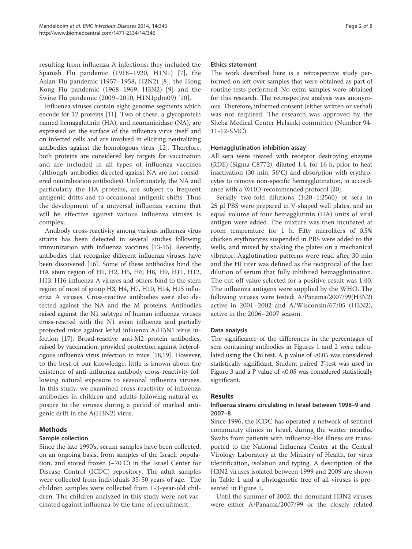resulting from influenza A infections; they included the Spanish Flu pandemic (1918–1920, H1N1) [7], the Asian Flu pandemic (1957–1958, H2N2) [8], the Hong Kong Flu pandemic (1968–1969, H3N2) [9] and the Swine Flu pandemic (2009–2010, H1N1pdm09) [10].

Influenza viruses contain eight genome segments which encode for 12 proteins [11]. Two of these, a glycoprotein named hemagglutinin (HA), and neuraminidase (NA), are expressed on the surface of the influenza virus itself and on infected cells and are involved in eliciting neutralizing antibodies against the homologous virus [12]. Therefore, both proteins are considered key targets for vaccination and are included in all types of influenza vaccines (although antibodies directed against NA are not considered neutralization antibodies). Unfortunately, the NA and particularly the HA proteins, are subject to frequent antigenic drifts and to occasional antigenic shifts. Thus the development of a universal influenza vaccine that will be effective against various influenza viruses is complex.

Antibody cross-reactivity among various influenza virus strains has been detected in several studies following immunization with influenza vaccines [13-15]. Recently, antibodies that recognize different influenza viruses have been discovered [16]. Some of these antibodies bind the HA stem region of H1, H2, H5, H6, H8, H9, H11, H12, H13, H16 influenza A viruses and others bind to the stem region of most of group H3, H4, H7, H10, H14, H15 influenza A viruses. Cross-reactive antibodies were also detected against the NA and the M proteins. Antibodies raised against the N1 subtype of human influenza viruses cross-reacted with the N1 avian influenza and partially protected mice against lethal influenza A/H5N1 virus infection [17]. Broad-reactive anti-M2 protein antibodies, raised by vaccination, provided protection against heterologous influenza virus infection in mice [18,19]. However, to the best of our knowledge, little is known about the existence of anti-influenza antibody cross-reactivity following natural exposure to seasonal influenza viruses. In this study, we examined cross-reactivity of influenza antibodies in children and adults following natural exposure to the viruses during a period of marked antigenic drift in the A(H3N2) virus.

# Methods

# Sample collection

Since the late 1990's, serum samples have been collected, on an ongoing basis, from samples of the Israeli population, and stored frozen (−70°C) in the Israel Center for Disease Control (ICDC) repository. The adult samples were collected from individuals 35-50 years of age. The children samples were collected from 1-3-year-old children. The children analyzed in this study were not vaccinated against influenza by the time of recruitment.

#### Ethics statement

The work described here is a retrospective study performed on left over samples that were obtained as part of routine tests performed. No extra samples were obtained for this research. The retrospective analysis was anonymous. Therefore, informed consent (either written or verbal) was not required. The research was approved by the Sheba Medical Center Helsinki committee (Number 94- 11-12-SMC).

#### Hemagglutination inhibition assay

All sera were treated with receptor destroying enzyme (RDE) (Sigma C8772), diluted 1:4, for 16 h, prior to heat inactivation (30 min, 56°C) and absorption with erythrocytes to remove non-specific hemagglutination, in accordance with a WHO-recommended protocol [20].

Serially two-fold dilutions (1:20–1:2560) of sera in 25 μl PBS were prepared in V-shaped well plates, and an equal volume of four hemagglutinin (HA) units of viral antigen were added. The mixture was then incubated at room temperature for 1 h. Fifty microliters of 0.5% chicken erythrocytes suspended in PBS were added to the wells, and mixed by shaking the plates on a mechanical vibrator. Agglutination patterns were read after 30 min and the HI titer was defined as the reciprocal of the last dilution of serum that fully inhibited hemagglutination. The cut-off value selected for a positive result was 1:40. The influenza antigens were supplied by the WHO. The following viruses were tested: A/Panama/2007/99(H3N2) active in 2001–2002 and A/Wisconsin/67/05 (H3N2), active in the 2006–2007 season.

#### Data analysis

The significance of the differences in the percentages of sera containing antibodies in Figures 1 and 2 were calculated using the Chi test. A p value of  $< 0.05$  was considered statistically significant. Student paired T-test was used in Figure 3 and a P value of <0.05 was considered statistically significant.

# Results

# Influenza strains circulating in Israel between 1998–9 and 2007–8

Since 1996, the ICDC has operated a network of sentinel community clinics in Israel, during the winter months. Swabs from patients with influenza-like illness are transported to the National Influenza Center at the Central Virology Laboratory at the Ministry of Health, for virus identification, isolation and typing. A description of the H3N2 viruses isolated between 1999 and 2009 are shown in Table 1 and a phylogenetic tree of all viruses is presented in Figure 1.

Until the summer of 2002, the dominant H3N2 viruses were either A/Panama/2007/99 or the closely related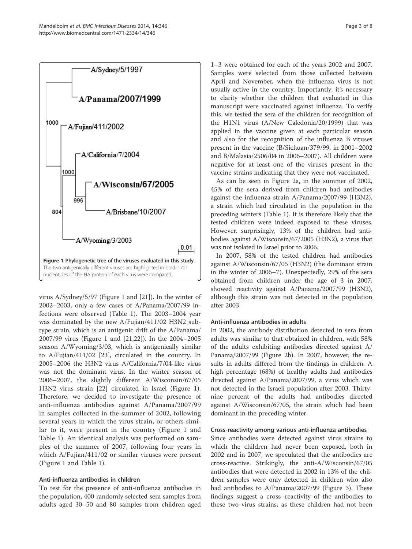

virus A/Sydney/5/97 (Figure 1 and [21]). In the winter of 2002–2003, only a few cases of A/Panama/2007/99 infections were observed (Table 1). The 2003–2004 year was dominated by the new A/Fujian/411/02 H3N2 subtype strain, which is an antigenic drift of the A/Panama/ 2007/99 virus (Figure 1 and [21,22]). In the 2004–2005 season A/Wyoming/3/03, which is antigenically similar to A/Fujian/411/02 [23], circulated in the country. In 2005–2006 the H3N2 virus A/California/7/04-like virus was not the dominant virus. In the winter season of 2006–2007, the slightly different A/Wisconsin/67/05 H3N2 virus strain [22] circulated in Israel (Figure 1). Therefore, we decided to investigate the presence of anti-influenza antibodies against A/Panama/2007/99 in samples collected in the summer of 2002, following several years in which the virus strain, or others similar to it, were present in the country (Figure 1 and Table 1). An identical analysis was performed on samples of the summer of 2007, following four years in which A/Fujian/411/02 or similar viruses were present (Figure 1 and Table 1).

#### Anti-influenza antibodies in children

To test for the presence of anti-influenza antibodies in the population, 400 randomly selected sera samples from adults aged 30–50 and 80 samples from children aged

1–3 were obtained for each of the years 2002 and 2007. Samples were selected from those collected between April and November, when the influenza virus is not usually active in the country. Importantly, it's necessary to clarity whether the children that evaluated in this manuscript were vaccinated against influenza. To verify this, we tested the sera of the children for recognition of the H1N1 virus (A/New Caledonia/20/1999) that was applied in the vaccine given at each particular season and also for the recognition of the influenza B viruses present in the vaccine (B/Sichuan/379/99, in 2001–2002 and B/Malasia/2506/04 in 2006–2007). All children were negative for at least one of the viruses present in the vaccine strains indicating that they were not vaccinated.

As can be seen in Figure 2a, in the summer of 2002, 45% of the sera derived from children had antibodies against the influenza strain A/Panama/2007/99 (H3N2), a strain which had circulated in the population in the preceding winters (Table 1). It is therefore likely that the tested children were indeed exposed to these viruses. However, surprisingly, 13% of the children had antibodies against A/Wisconsin/67/2005 (H3N2), a virus that was not isolated in Israel prior to 2006.

In 2007, 58% of the tested children had antibodies against A/Wisconsin/67/05 (H3N2) (the dominant strain in the winter of 2006–7). Unexpectedly, 29% of the sera obtained from children under the age of 3 in 2007, showed reactivity against A/Panama/2007/99 (H3N2), although this strain was not detected in the population after 2003.

#### Anti-influenza antibodies in adults

In 2002, the antibody distribution detected in sera from adults was similar to that obtained in children, with 58% of the adults exhibiting antibodies directed against A/ Panama/2007/99 (Figure 2b). In 2007, however, the results in adults differed from the findings in children. A high percentage (68%) of healthy adults had antibodies directed against A/Panama/2007/99, a virus which was not detected in the Israeli population after 2003. Thirtynine percent of the adults had antibodies directed against A/Wisconsin/67/05, the strain which had been dominant in the preceding winter.

#### Cross-reactivity among various anti-influenza antibodies

Since antibodies were detected against virus strains to which the children had never been exposed, both in 2002 and in 2007, we speculated that the antibodies are cross-reactive. Strikingly, the anti-A/Wisconsin/67/05 antibodies that were detected in 2002 in 13% of the children samples were only detected in children who also had antibodies to A/Panama/2007/99 (Figure 3). These findings suggest a cross–reactivity of the antibodies to these two virus strains, as these children had not been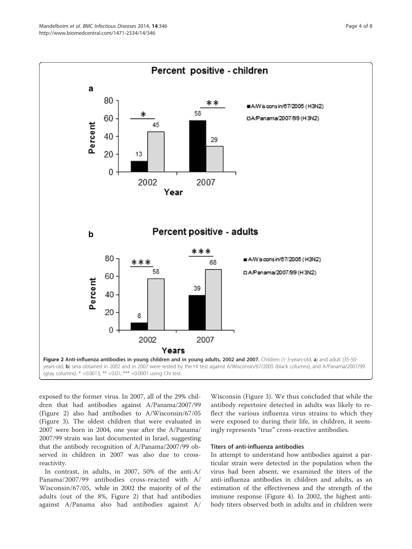

exposed to the former virus. In 2007, all of the 29% children that had antibodies against A/Panama/2007/99 (Figure 2) also had antibodies to A/Wisconsin/67/05 (Figure 3). The oldest children that were evaluated in 2007 were born in 2004, one year after the A/Panama/ 2007/99 strain was last documented in Israel, suggesting that the antibody recognition of A/Panama/2007/99 observed in children in 2007 was also due to crossreactivity.

In contrast, in adults, in 2007, 50% of the anti-A/ Panama/2007/99 antibodies cross-reacted with A/ Wisconsin/67/05, while in 2002 the majority of of the adults (out of the 8%, Figure 2) that had antibodies against A/Panama also had antibodies against A/

Wisconsin (Figure 3). We thus concluded that while the antibody repertoire detected in adults was likely to reflect the various influenza virus strains to which they were exposed to during their life, in children, it seemingly represents "true" cross-reactive antibodies.

# Titers of anti-influenza antibodies

In attempt to understand how antibodies against a particular strain were detected in the population when the virus had been absent, we examined the titers of the anti-influenza antibodies in children and adults, as an estimation of the effectiveness and the strength of the immune response (Figure 4). In 2002, the highest antibody titers observed both in adults and in children were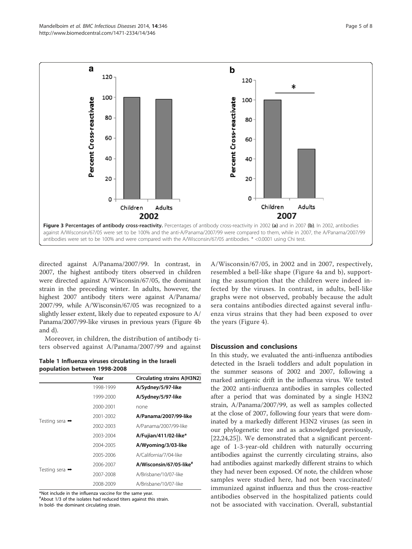

directed against A/Panama/2007/99. In contrast, in 2007, the highest antibody titers observed in children were directed against A/Wisconsin/67/05, the dominant strain in the preceding winter. In adults, however, the highest 2007 antibody titers were against A/Panama/ 2007/99, while A/Wisconsin/67/05 was recognized to a slightly lesser extent, likely due to repeated exposure to A/ Panama/2007/99-like viruses in previous years (Figure 4b and d).

Moreover, in children, the distribution of antibody titers observed against A/Panama/2007/99 and against

Table 1 Influenza viruses circulating in the Israeli population between 1998-2008

|                            | Year      | Circulating strains A(H3N2)         |
|----------------------------|-----------|-------------------------------------|
|                            | 1998-1999 | A/Sydney/5/97-like                  |
| Testing sera $\rightarrow$ | 1999-2000 | A/Sydney/5/97-like                  |
|                            | 2000-2001 | none                                |
|                            | 2001-2002 | A/Panama/2007/99-like               |
|                            | 2002-2003 | A/Panama/2007/99-like               |
|                            | 2003-2004 | A/Fujian/411/02-like*               |
|                            | 2004-2005 | A/Wyoming/3/03-like                 |
| Testing sera $\rightarrow$ | 2005-2006 | A/California/7/04-like              |
|                            | 2006-2007 | A/Wisconsin/67/05-like <sup>#</sup> |
|                            | 2007-2008 | A/Brisbane/10/07-like               |
|                            | 2008-2009 | A/Brisbane/10/07-like               |

\*Not include in the influenza vaccine for the same year.

# About 1/3 of the isolates had reduced titers against this strain. In bold- the dominant circulating strain.

A/Wisconsin/67/05, in 2002 and in 2007, respectively, resembled a bell-like shape (Figure 4a and b), supporting the assumption that the children were indeed infected by the viruses. In contrast, in adults, bell-like graphs were not observed, probably because the adult sera contains antibodies directed against several influenza virus strains that they had been exposed to over the years (Figure 4).

# Discussion and conclusions

In this study, we evaluated the anti-influenza antibodies detected in the Israeli toddlers and adult population in the summer seasons of 2002 and 2007, following a marked antigenic drift in the influenza virus. We tested the 2002 anti-influenza antibodies in samples collected after a period that was dominated by a single H3N2 strain, A/Panama/2007/99, as well as samples collected at the close of 2007, following four years that were dominated by a markedly different H3N2 viruses (as seen in our phylogenetic tree and as acknowledged previously, [22,24,25]). We demonstrated that a significant percentage of 1-3-year-old children with naturally occurring antibodies against the currently circulating strains, also had antibodies against markedly different strains to which they had never been exposed. Of note, the children whose samples were studied here, had not been vaccinated/ immunized against influenza and thus the cross-reactive antibodies observed in the hospitalized patients could not be associated with vaccination. Overall, substantial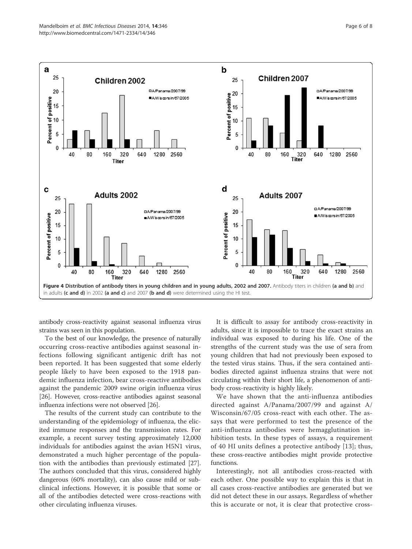

antibody cross-reactivity against seasonal influenza virus strains was seen in this population.

To the best of our knowledge, the presence of naturally occurring cross-reactive antibodies against seasonal infections following significant antigenic drift has not been reported. It has been suggested that some elderly people likely to have been exposed to the 1918 pandemic influenza infection, bear cross-reactive antibodies against the pandemic 2009 swine origin influenza virus [26]. However, cross-reactive antibodies against seasonal influenza infections were not observed [26].

The results of the current study can contribute to the understanding of the epidemiology of influenza, the elicited immune responses and the transmission rates. For example, a recent survey testing approximately 12,000 individuals for antibodies against the avian H5N1 virus, demonstrated a much higher percentage of the population with the antibodies than previously estimated [27]. The authors concluded that this virus, considered highly dangerous (60% mortality), can also cause mild or subclinical infections. However, it is possible that some or all of the antibodies detected were cross-reactions with other circulating influenza viruses.

It is difficult to assay for antibody cross-reactivity in adults, since it is impossible to trace the exact strains an individual was exposed to during his life. One of the strengths of the current study was the use of sera from young children that had not previously been exposed to the tested virus stains. Thus, if the sera contained antibodies directed against influenza strains that were not circulating within their short life, a phenomenon of antibody cross-reactivity is highly likely.

We have shown that the anti-influenza antibodies directed against A/Panama/2007/99 and against A/ Wisconsin/67/05 cross-react with each other. The assays that were performed to test the presence of the anti-influenza antibodies were hemagglutination inhibition tests. In these types of assays, a requirement of 40 HI units defines a protective antibody [13]; thus, these cross-reactive antibodies might provide protective functions.

Interestingly, not all antibodies cross-reacted with each other. One possible way to explain this is that in all cases cross-reactive antibodies are generated but we did not detect these in our assays. Regardless of whether this is accurate or not, it is clear that protective cross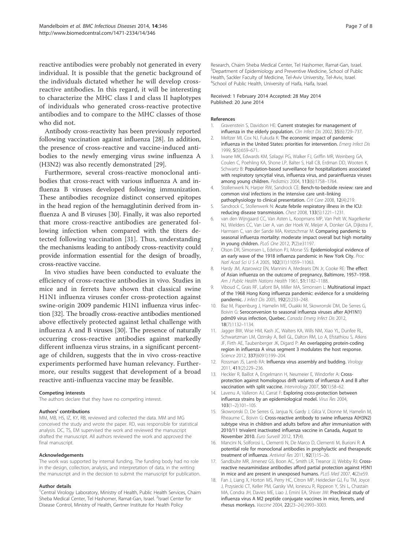reactive antibodies were probably not generated in every individual. It is possible that the genetic background of the individuals dictated whether he will develop crossreactive antibodies. In this regard, it will be interesting to characterize the MHC class I and class II haplotypes of individuals who generated cross-reactive protective antibodies and to compare to the MHC classes of those who did not.

Antibody cross-reactivity has been previously reported following vaccination against influenza [28]. In addition, the presence of cross-reactive and vaccine-induced antibodies to the newly emerging virus swine influenza A (H3N2) was also recently demonstrated [29].

Furthermore, several cross-reactive monoclonal antibodies that cross-react with various influenza A and influenza B viruses developed following immunization. These antibodies recognize distinct conserved epitopes in the head region of the hemagglutinin derived from influenza A and B viruses [30]. Finally, it was also reported that more cross-reactive antibodies are generated following infection when compared with the titers detected following vaccination [31]. Thus, understanding the mechanisms leading to antibody cross-reactivity could provide information essential for the design of broadly, cross-reactive vaccine.

In vivo studies have been conducted to evaluate the efficiency of cross-reactive antibodies in vivo. Studies in mice and in ferrets have shown that classical swine H1N1 influenza viruses confer cross-protection against swine-origin 2009 pandemic H1N1 influenza virus infection [32]. The broadly cross-reactive antibodies mentioned above effectively protected against lethal challenge with influenza A and B viruses [30]. The presence of naturally occurring cross-reactive antibodies against markedly different influenza virus strains, in a significant percentage of children, suggests that the in vivo cross-reactive experiments performed have human relevancy. Furthermore, our results suggest that development of a broad reactive anti-influenza vaccine may be feasible.

#### Competing interests

The authors declare that they have no competing interest.

#### Authors' contributions

MM, MB, HS, IZ, KY, RB, reviewed and collected the data. MM and MG conceived the study and wrote the paper. RD, was responsible for statistical analysis. DC, TS, EM supervised the work and reviewed the manuscript drafted the manuscript. All authors reviewed the work and approved the final manuscript.

#### Acknowledgements

The work was supported by internal funding. The funding body had no role in the design, collection, analysis, and interpretation of data, in the writing the manuscript and in the decision to submit the manuscript for publication.

#### Author details

<sup>1</sup>Central Virology Laboratory, Ministry of Health, Public Health Services, Chaim Sheba Medical Center, Tel Hashomer, Ramat-Gan, Israel. <sup>2</sup>Israel Center for Disease Control, Ministry of Health, Gertner Institute for Health Policy

Research, Chaim Sheba Medical Center, Tel Hashomer, Ramat-Gan, Israel. <sup>3</sup>Department of Epidemiology and Preventive Medicine, School of Public Health, Sackler Faculty of Medicine, Tel-Aviv University, Tel-Aviv, Israel. 4 School of Public Health, University of Haifa, Haifa, Israel.

#### Received: 1 February 2014 Accepted: 28 May 2014 Published: 20 June 2014

#### References

- 1. Gravenstein S, Davidson HE: Current strategies for management of influenza in the elderly population. Clin Infect Dis 2002, 35(6):729–737.
- 2. Meltzer MI, Cox NJ, Fukuda K: The economic impact of pandemic influenza in the United States: priorities for intervention. Emerg Infect Dis 1999, 5(5):659–671.
- 3. Iwane MK, Edwards KM, Szilagyi PG, Walker FJ, Griffin MR, Weinberg GA, Coulen C, Poehling KA, Shone LP, Balter S, Hall CB, Erdman DD, Wooten K, Schwartz B: Population-based surveillance for hospitalizations associated with respiratory syncytial virus, influenza virus, and parainfluenza viruses among young children. Pediatrics 2004, 113(6):1758–1764.
- 4. Stollenwerk N, Harper RW, Sandrock CE: Bench-to-bedside review: rare and common viral infections in the intensive care unit–linking pathophysiology to clinical presentation. Crit Care 2008, 12(4):219.
- 5. Sandrock C, Stollenwerk N: Acute febrile respiratory illness in the ICU: reducing disease transmission. Chest 2008, 133(5):1221–1231.
- 6. van den Wijngaard CC, Van Asten L, Koopmans MP, Van Pelt W, Nagelkerke NJ, Wielders CC, Van Lier A, van der Hoek W, Meijer A, Donker GA, Dijkstra F, Harmsen C, van der Sande MA, Kretzschmar M: Comparing pandemic to seasonal influenza mortality: moderate impact overall but high mortality in young children. PLoS One 2012, 7(2):e31197.
- 7. Olson DR, Simonsen L, Edelson PJ, Morse SS: Epidemiological evidence of an early wave of the 1918 influenza pandemic in New York City. Proc Natl Acad Sci U S A 2005, 102(31):11059–11063.
- 8. Hardy JM, Azarowicz EN, Mannini A, Medearis DN Jr, Cooke RE: The effect of Asian influenza on the outcome of pregnancy, Baltimore, 1957–1958. Am J Public Health Nations Health 1961, 51:1182–1188.
- 9. Viboud C, Grais RF, Lafont BA, Miller MA, Simonsen L: Multinational impact of the 1968 Hong Kong influenza pandemic: evidence for a smoldering pandemic. J Infect Dis 2005, 192(2):233–248.
- 10. Baz M, Papenburg J, Hamelin ME, Ouakki M, Skowronski DM, De Serres G, Boivin G: Seroconversion to seasonal influenza viruses after A(H1N1) pdm09 virus infection, Quebec. Canada Emerg Infect Dis 2012, 18(7):1132–1134.
- 11. Jagger BW, Wise HM, Kash JC, Walters KA, Wills NM, Xiao YL, Dunfee RL, Schwartzman LM, Ozinsky A, Bell GL, Dalton RM, Lo A, Efstathiou S, Atkins JF, Firth AE, Taubenberger JK, Digard P: An overlapping protein-coding region in influenza A virus segment 3 modulates the host response. Science 2012, 337(6091):199–204.
- 12. Rossman JS, Lamb RA: Influenza virus assembly and budding. Virology 2011, 411(2):229–236.
- 13. Heckler R, Baillot A, Engelmann H, Neumeier E, Windorfer A: Crossprotection against homologous drift variants of influenza A and B after vaccination with split vaccine. Intervirology 2007, 50(1):58–62.
- 14. Lavenu A, Valleron AJ, Carrat F: Exploring cross-protection between influenza strains by an epidemiological model. Virus Res 2004, 103(1–2):101–105.
- 15. Skowronski D, De Serres G, Janjua N, Gardy J, Gilca V, Dionne M, Hamelin M, Rheaume C, Boivin G: Cross-reactive antibody to swine influenza A(H3N2) subtype virus in children and adults before and after immunisation with 2010/11 trivalent inactivated influenza vaccine in Canada, August to November 2010. Euro Surveill 2012, 17(4).
- 16. Mancini N, Solforosi L, Clementi N, De Marco D, Clementi M, Burioni R: A potential role for monoclonal antibodies in prophylactic and therapeutic treatment of influenza. Antiviral Res 2011, 92(1):15–26.
- 17. Sandbulte MR, Jimenez GS, Boon AC, Smith LR, Treanor JJ, Webby RJ: Crossreactive neuraminidase antibodies afford partial protection against H5N1 in mice and are present in unexposed humans. PLoS Med 2007, 4(2):e59.
- 18. Fan J, Liang X, Horton MS, Perry HC, Citron MP, Heidecker GJ, Fu TM, Joyce J, Przysiecki CT, Keller PM, Garsky VM, Ionescu R, Rippeon Y, Shi L, Chastain MA, Condra JH, Davies ME, Liao J, Emini EA, Shiver JW: Preclinical study of influenza virus A M2 peptide conjugate vaccines in mice, ferrets, and rhesus monkeys. Vaccine 2004, 22(23–24):2993–3003.